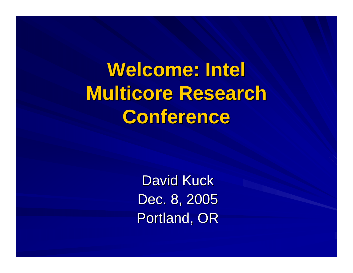**Welcome: Intel Multicore Multicore Research Research Conference** 

> David Kuck Dec. 8, 2005 Portland, OR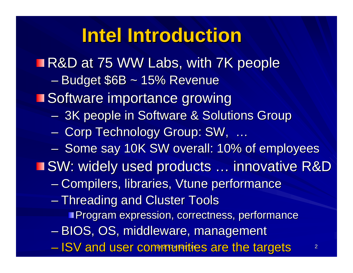#### **Intel Introduction Intel Introduction**

 $-$  ISV and user comerintatios are the fargets  $\sim$  2 **R&D at 75 WW Labs, with 7K people**  $\mathcal{L}_{\mathcal{A}}$ – Budget \$6B ~ 15% Revenue **Software importance growing**  $\mathcal{L}_{\mathcal{A}}$ - 3K people in Software & Solutions Group  $-$  Corp Technology Group: SW, … –– Some say 10K SW overall: 10% of employees ■SW: widely used products ... innovative R&D –– Compilers, libraries, Vtune performance  $\mathcal{L}_{\mathcal{A}}$ – Threading and Cluster Tools **Program expression, correctness, performance**  $\mathcal{L}_{\mathcal{A}}$  , where  $\mathcal{L}_{\mathcal{A}}$  is the set of the set of the set of the set of the set of the set of the set of the set of the set of the set of the set of the set of the set of the set of the set of the set of the – BIOS, OS, middleware, management – ISV and user communities are the targets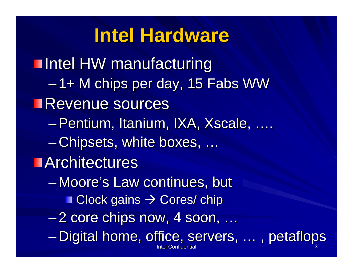#### **Intel Hardware Intel Hardware**

Intel Confidentia Intel Confidential 3 **Intel HW manufacturing** –1+ M chips per day, 15 Fabs WW **Revenue sources** –Pentium, Itanium, IXA, Xscale, Pentium, Itanium, IXA, Xscale, …. – $-$  Chipsets, white boxes, ….  $\blacksquare$  Architectures – Moore's Law continues, but  $\blacksquare$  Clock gains  $\rightarrow$  Cores/ chip –2 core chips now, 4 soon, … –Digital home, office, servers, … , petaflops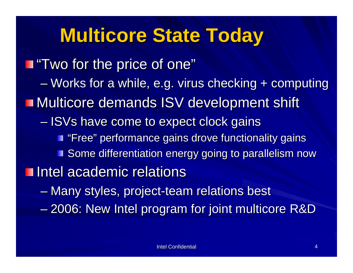# **Multicore State Today**

**The price of one"** Two for the price of one" – Works for a while, e.g. virus checking + computing Multicore demands ISV development shift  $\mathcal{L}_{\mathcal{A}}$  $-$  ISVs have come to expect clock gains **T** "Free" performance gains drove functionality gains Some differentiation energy going to parallelism now Intel academic relations –– Many styles, project-team relations best  $\mathcal{L}_{\mathcal{A}}$ – 2006: New Intel program for joint multicore R&D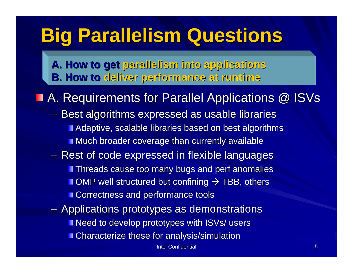# **Big Parallelism Questions Big Parallelism Questions**

**A. How to get parallelism into applications B. How to B. How to deliver performance deliver performance at runtime at runtime**

**A. Requirements for Parallel Applications @ ISVs** 

- $\mathcal{L}_{\mathcal{A}}$  $-$  Best algorithms expressed as usable libraries Adaptive, scalable libraries based on best algorithms **Much broader coverage than currently available**
- $-$  Rest of code expressed in flexible languages **Threads cause too many bugs and perf anomalies** OMP well structured but confining  $\rightarrow$  TBB, others **Correctness and performance tools**
- $-$  Applications prototypes as demonstrations **Need to develop prototypes with ISVs/ users Characterize these for analysis/simulation**

Intel Confidential Intel 5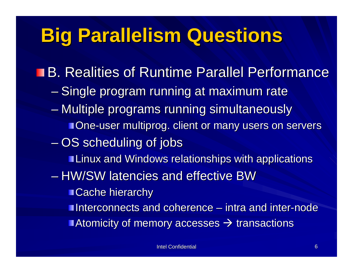## **Big Parallelism Questions Big Parallelism Questions**

- B. Realities of Runtime Parallel Performance
	- Single program running at maximum rate
	- Multiple programs running simultaneously **One-user multiprog. client or many users on servers .**
	- $\mathcal{L}_{\mathcal{A}}$  $-\mathop{\rm OS}$  scheduling of jobs
		- **Linux and Windows relationships with applications**
	- HW/SW latencies and effective BW
		- **Cache hierarchy**
		- **Interconnects and coherence intra and inter-node**
		- Atomicity of memory accesses  $\rightarrow$  transactions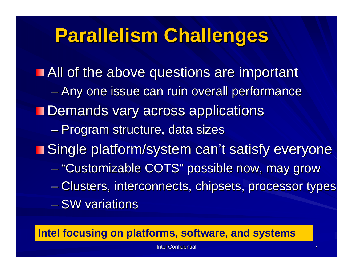## **Parallelism Challenges Parallelism Challenges**

**All of the above questions are important** – Any one issue can ruin overall performance **Demands vary across applications**  $\mathcal{L}_{\mathcal{A}}$ – Program structure, data sizes **Single platform/system can't satisfy everyone in Single platform/system can't satisfy everyone** –- "Customizable COTS" possible now, may grow  $\mathcal{L}_{\mathcal{A}}$ – Clusters, interconnects, chipsets, processor types  $-$  SW variations

**Intel focusing on platforms, software, and systems**